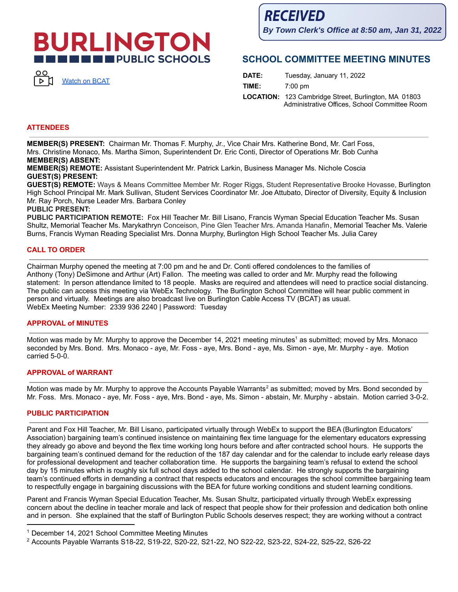# **BURLINGTON THE EXPUBLIC SCHOOLS**



**RECEIVED By Town Clerk's Office at 8:50 am, Jan 31, 2022**

## **SCHOOL COMMITTEE MEETING MINUTES**

| DATE: | Tuesday, January 11, 2022                                                                                    |
|-------|--------------------------------------------------------------------------------------------------------------|
| TIME: | $7:00 \text{ pm}$                                                                                            |
|       | <b>LOCATION:</b> 123 Cambridge Street, Burlington, MA 01803<br>Administrative Offices, School Committee Room |

#### **ATTENDEES**

**MEMBER(S) PRESENT:** Chairman Mr. Thomas F. Murphy, Jr., Vice Chair Mrs. Katherine Bond, Mr. Carl Foss, Mrs. Christine Monaco, Ms. Martha Simon, Superintendent Dr. Eric Conti, Director of Operations Mr. Bob Cunha **MEMBER(S) ABSENT:**

**MEMBER(S) REMOTE:** Assistant Superintendent Mr. Patrick Larkin, Business Manager Ms. Nichole Coscia **GUEST(S) PRESENT:**

**GUEST(S) REMOTE:** Ways & Means Committee Member Mr. Roger Riggs, Student Representative Brooke Hovasse, Burlington High School Principal Mr. Mark Sullivan, Student Services Coordinator Mr. Joe Attubato, Director of Diversity, Equity & Inclusion Mr. Ray Porch, Nurse Leader Mrs. Barbara Conley

#### **PUBLIC PRESENT:**

**PUBLIC PARTICIPATION REMOTE:** Fox Hill Teacher Mr. Bill Lisano, Francis Wyman Special Education Teacher Ms. Susan Shultz, Memorial Teacher Ms. Marykathryn Conceison, Pine Glen Teacher Mrs. Amanda Hanafin, Memorial Teacher Ms. Valerie Burns, Francis Wyman Reading Specialist Mrs. Donna Murphy, Burlington High School Teacher Ms. Julia Carey

#### **CALL TO ORDER**

Chairman Murphy opened the meeting at 7:00 pm and he and Dr. Conti offered condolences to the families of Anthony (Tony) DeSimone and Arthur (Art) Fallon. The meeting was called to order and Mr. Murphy read the following statement: In person attendance limited to 18 people. Masks are required and attendees will need to practice social distancing. The public can access this meeting via WebEx Technology. The Burlington School Committee will hear public comment in person and virtually. Meetings are also broadcast live on Burlington Cable Access TV (BCAT) as usual. WebEx Meeting Number: 2339 936 2240 | Password: Tuesday

#### **APPROVAL of MINUTES**

Motion was made by Mr. Murphy to approve the December 14, 2021 meeting minutes <sup>1</sup> as submitted; moved by Mrs. Monaco seconded by Mrs. Bond. Mrs. Monaco - aye, Mr. Foss - aye, Mrs. Bond - aye, Ms. Simon - aye, Mr. Murphy - aye. Motion carried 5-0-0.

#### **APPROVAL of WARRANT**

Motion was made by Mr. Murphy to approve the Accounts Payable Warrants<sup>2</sup> as submitted; moved by Mrs. Bond seconded by Mr. Foss. Mrs. Monaco - aye, Mr. Foss - aye, Mrs. Bond - aye, Ms. Simon - abstain, Mr. Murphy - abstain. Motion carried 3-0-2.

#### **PUBLIC PARTICIPATION**

Parent and Fox Hill Teacher, Mr. Bill Lisano, participated virtually through WebEx to support the BEA (Burlington Educators' Association) bargaining team's continued insistence on maintaining flex time language for the elementary educators expressing they already go above and beyond the flex time working long hours before and after contracted school hours. He supports the bargaining team's continued demand for the reduction of the 187 day calendar and for the calendar to include early release days for professional development and teacher collaboration time. He supports the bargaining team's refusal to extend the school day by 15 minutes which is roughly six full school days added to the school calendar. He strongly supports the bargaining team's continued efforts in demanding a contract that respects educators and encourages the school committee bargaining team to respectfully engage in bargaining discussions with the BEA for future working conditions and student learning conditions.

Parent and Francis Wyman Special Education Teacher, Ms. Susan Shultz, participated virtually through WebEx expressing concern about the decline in teacher morale and lack of respect that people show for their profession and dedication both online and in person. She explained that the staff of Burlington Public Schools deserves respect; they are working without a contract

<sup>&</sup>lt;sup>1</sup> December 14, 2021 School Committee Meeting Minutes

<sup>2</sup> Accounts Payable Warrants S18-22, S19-22, S20-22, S21-22, NO S22-22, S23-22, S24-22, S25-22, S26-22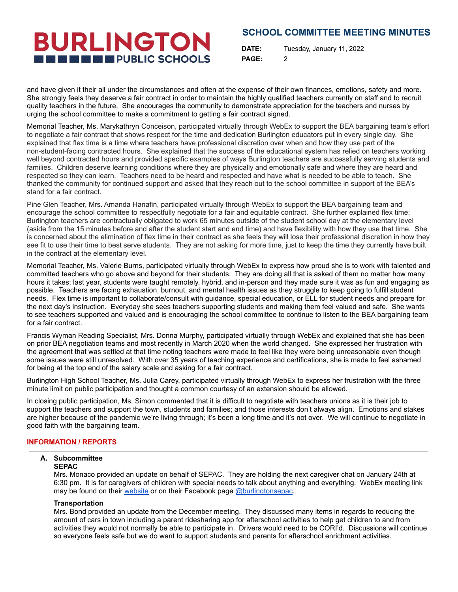**BURLINGTON THE THE PUBLIC SCHOOLS** 

**DATE:** Tuesday, January 11, 2022 **PAGE:** 2

and have given it their all under the circumstances and often at the expense of their own finances, emotions, safety and more. She strongly feels they deserve a fair contract in order to maintain the highly qualified teachers currently on staff and to recruit quality teachers in the future. She encourages the community to demonstrate appreciation for the teachers and nurses by urging the school committee to make a commitment to getting a fair contract signed.

Memorial Teacher, Ms. Marykathryn Conceison, participated virtually through WebEx to support the BEA bargaining team's effort to negotiate a fair contract that shows respect for the time and dedication Burlington educators put in every single day. She explained that flex time is a time where teachers have professional discretion over when and how they use part of the non-student-facing contracted hours. She explained that the success of the educational system has relied on teachers working well beyond contracted hours and provided specific examples of ways Burlington teachers are successfully serving students and families. Children deserve learning conditions where they are physically and emotionally safe and where they are heard and respected so they can learn. Teachers need to be heard and respected and have what is needed to be able to teach. She thanked the community for continued support and asked that they reach out to the school committee in support of the BEA's stand for a fair contract.

Pine Glen Teacher, Mrs. Amanda Hanafin, participated virtually through WebEx to support the BEA bargaining team and encourage the school committee to respectfully negotiate for a fair and equitable contract. She further explained flex time; Burlington teachers are contractually obligated to work 65 minutes outside of the student school day at the elementary level (aside from the 15 minutes before and after the student start and end time) and have flexibility with how they use that time. She is concerned about the elimination of flex time in their contract as she feels they will lose their professional discretion in how they see fit to use their time to best serve students. They are not asking for more time, just to keep the time they currently have built in the contract at the elementary level.

Memorial Teacher, Ms. Valerie Burns, participated virtually through WebEx to express how proud she is to work with talented and committed teachers who go above and beyond for their students. They are doing all that is asked of them no matter how many hours it takes; last year, students were taught remotely, hybrid, and in-person and they made sure it was as fun and engaging as possible. Teachers are facing exhaustion, burnout, and mental health issues as they struggle to keep going to fulfill student needs. Flex time is important to collaborate/consult with guidance, special education, or ELL for student needs and prepare for the next day's instruction. Everyday she sees teachers supporting students and making them feel valued and safe. She wants to see teachers supported and valued and is encouraging the school committee to continue to listen to the BEA bargaining team for a fair contract.

Francis Wyman Reading Specialist, Mrs. Donna Murphy, participated virtually through WebEx and explained that she has been on prior BEA negotiation teams and most recently in March 2020 when the world changed. She expressed her frustration with the agreement that was settled at that time noting teachers were made to feel like they were being unreasonable even though some issues were still unresolved. With over 35 years of teaching experience and certifications, she is made to feel ashamed for being at the top end of the salary scale and asking for a fair contract.

Burlington High School Teacher, Ms. Julia Carey, participated virtually through WebEx to express her frustration with the three minute limit on public participation and thought a common courtesy of an extension should be allowed.

In closing public participation, Ms. Simon commented that it is difficult to negotiate with teachers unions as it is their job to support the teachers and support the town, students and families; and those interests don't always align. Emotions and stakes are higher because of the pandemic we're living through; it's been a long time and it's not over. We will continue to negotiate in good faith with the bargaining team.

#### **INFORMATION / REPORTS**

#### **A. Subcommittee**

#### **SEPAC**

Mrs. Monaco provided an update on behalf of SEPAC. They are holding the next caregiver chat on January 24th at 6:30 pm. It is for caregivers of children with special needs to talk about anything and everything. WebEx meeting link may be found on their [website](http://burlingtonsepac.org/calendar-of-events) or on their Facebook page [@burlingtonsepac](https://www.facebook.com/burlingtonsepac/).

#### **Transportation**

Mrs. Bond provided an update from the December meeting. They discussed many items in regards to reducing the amount of cars in town including a parent ridesharing app for afterschool activities to help get children to and from activities they would not normally be able to participate in. Drivers would need to be CORI'd. Discussions will continue so everyone feels safe but we do want to support students and parents for afterschool enrichment activities.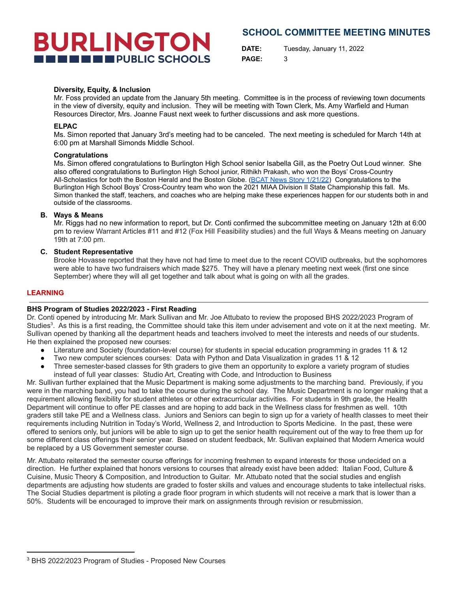# **BURLINGTON THE ENDIRECT PUBLIC SCHOOLS**

### **SCHOOL COMMITTEE MEETING MINUTES**

**DATE:** Tuesday, January 11, 2022 **PAGE:** 3

#### **Diversity, Equity, & Inclusion**

Mr. Foss provided an update from the January 5th meeting. Committee is in the process of reviewing town documents in the view of diversity, equity and inclusion. They will be meeting with Town Clerk, Ms. Amy Warfield and Human Resources Director, Mrs. Joanne Faust next week to further discussions and ask more questions.

#### **ELPAC**

Ms. Simon reported that January 3rd's meeting had to be canceled. The next meeting is scheduled for March 14th at 6:00 pm at Marshall Simonds Middle School.

#### **Congratulations**

Ms. Simon offered congratulations to Burlington High School senior Isabella Gill, as the Poetry Out Loud winner. She also offered congratulations to Burlington High School junior, Rithikh Prakash, who won the Boys' Cross-Country All-Scholastics for both the Boston Herald and the Boston Globe. ([BCAT News Story 1/21/22](https://bcattv.org/rithikh-prakash-of-red-devil-track-named-boston-globe-d2-athlete-of-the-year/)) Congratulations to the Burlington High School Boys' Cross-Country team who won the 2021 MIAA Division II State Championship this fall. Ms. Simon thanked the staff, teachers, and coaches who are helping make these experiences happen for our students both in and outside of the classrooms.

#### **B. Ways & Means**

Mr. Riggs had no new information to report, but Dr. Conti confirmed the subcommittee meeting on January 12th at 6:00 pm to review Warrant Articles #11 and #12 (Fox Hill Feasibility studies) and the full Ways & Means meeting on January 19th at 7:00 pm.

#### **C. Student Representative**

Brooke Hovasse reported that they have not had time to meet due to the recent COVID outbreaks, but the sophomores were able to have two fundraisers which made \$275. They will have a plenary meeting next week (first one since September) where they will all get together and talk about what is going on with all the grades.

#### **LEARNING**

#### **BHS Program of Studies 2022/2023 - First Reading**

Dr. Conti opened by introducing Mr. Mark Sullivan and Mr. Joe Attubato to review the proposed BHS 2022/2023 Program of Studies<sup>3</sup>. As this is a first reading, the Committee should take this item under advisement and vote on it at the next meeting. Mr. Sullivan opened by thanking all the department heads and teachers involved to meet the interests and needs of our students. He then explained the proposed new courses:

- Literature and Society (foundation-level course) for students in special education programming in grades 11 & 12
- Two new computer sciences courses: Data with Python and Data Visualization in grades 11 & 12
- Three semester-based classes for 9th graders to give them an opportunity to explore a variety program of studies instead of full year classes: Studio Art, Creating with Code, and Introduction to Business

Mr. Sullivan further explained that the Music Department is making some adjustments to the marching band. Previously, if you were in the marching band, you had to take the course during the school day. The Music Department is no longer making that a requirement allowing flexibility for student athletes or other extracurricular activities. For students in 9th grade, the Health Department will continue to offer PE classes and are hoping to add back in the Wellness class for freshmen as well. 10th graders still take PE and a Wellness class. Juniors and Seniors can begin to sign up for a variety of health classes to meet their requirements including Nutrition in Today's World, Wellness 2, and Introduction to Sports Medicine. In the past, these were offered to seniors only, but juniors will be able to sign up to get the senior health requirement out of the way to free them up for some different class offerings their senior year. Based on student feedback, Mr. Sullivan explained that Modern America would be replaced by a US Government semester course.

Mr. Attubato reiterated the semester course offerings for incoming freshmen to expand interests for those undecided on a direction. He further explained that honors versions to courses that already exist have been added: Italian Food, Culture & Cuisine, Music Theory & Composition, and Introduction to Guitar. Mr. Attubato noted that the social studies and english departments are adjusting how students are graded to foster skills and values and encourage students to take intellectual risks. The Social Studies department is piloting a grade floor program in which students will not receive a mark that is lower than a 50%. Students will be encouraged to improve their mark on assignments through revision or resubmission.

<sup>3</sup> BHS 2022/2023 Program of Studies - Proposed New Courses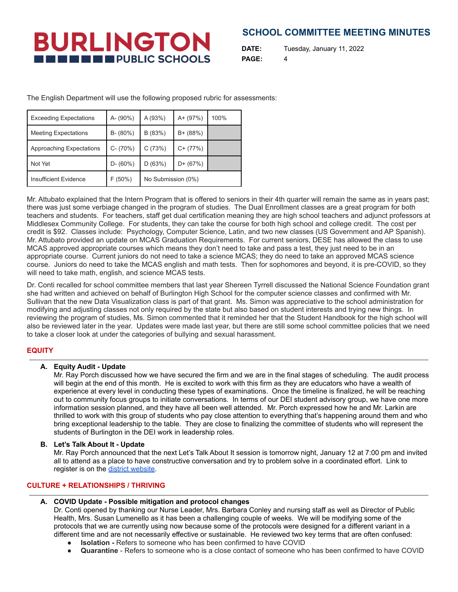**BURLINGTON THE EXECUTIVE PUBLIC SCHOOLS** 

**DATE:** Tuesday, January 11, 2022 **PAGE:** 4

The English Department will use the following proposed rubric for assessments:

| <b>Exceeding Expectations</b> | A- (90%)     | A(93%)             | $A + (97%)$ | 100% |
|-------------------------------|--------------|--------------------|-------------|------|
| <b>Meeting Expectations</b>   | $B - (80\%)$ | B (83%)            | $B + (88%)$ |      |
| Approaching Expectations      | $C - (70%)$  | C(73%)             | $C+ (77%)$  |      |
| Not Yet                       | $D - (60\%)$ | D(63%)             | $D+ (67%)$  |      |
| Insufficient Evidence         | F(50%)       | No Submission (0%) |             |      |

Mr. Attubato explained that the Intern Program that is offered to seniors in their 4th quarter will remain the same as in years past; there was just some verbiage changed in the program of studies. The Dual Enrollment classes are a great program for both teachers and students. For teachers, staff get dual certification meaning they are high school teachers and adjunct professors at Middlesex Community College. For students, they can take the course for both high school and college credit. The cost per credit is \$92. Classes include: Psychology, Computer Science, Latin, and two new classes (US Government and AP Spanish). Mr. Attubato provided an update on MCAS Graduation Requirements. For current seniors, DESE has allowed the class to use MCAS approved appropriate courses which means they don't need to take and pass a test, they just need to be in an appropriate course. Current juniors do not need to take a science MCAS; they do need to take an approved MCAS science course. Juniors do need to take the MCAS english and math tests. Then for sophomores and beyond, it is pre-COVID, so they will need to take math, english, and science MCAS tests.

Dr. Conti recalled for school committee members that last year Shereen Tyrrell discussed the National Science Foundation grant she had written and achieved on behalf of Burlington High School for the computer science classes and confirmed with Mr. Sullivan that the new Data Visualization class is part of that grant. Ms. Simon was appreciative to the school administration for modifying and adjusting classes not only required by the state but also based on student interests and trying new things. In reviewing the program of studies, Ms. Simon commented that it reminded her that the Student Handbook for the high school will also be reviewed later in the year. Updates were made last year, but there are still some school committee policies that we need to take a closer look at under the categories of bullying and sexual harassment.

### **EQUITY**

#### **A. Equity Audit - Update**

Mr. Ray Porch discussed how we have secured the firm and we are in the final stages of scheduling. The audit process will begin at the end of this month. He is excited to work with this firm as they are educators who have a wealth of experience at every level in conducting these types of examinations. Once the timeline is finalized, he will be reaching out to community focus groups to initiate conversations. In terms of our DEI student advisory group, we have one more information session planned, and they have all been well attended. Mr. Porch expressed how he and Mr. Larkin are thrilled to work with this group of students who pay close attention to everything that's happening around them and who bring exceptional leadership to the table. They are close to finalizing the committee of students who will represent the students of Burlington in the DEI work in leadership roles.

#### **B. Let's Talk About It - Update**

Mr. Ray Porch announced that the next Let's Talk About It session is tomorrow night, January 12 at 7:00 pm and invited all to attend as a place to have constructive conversation and try to problem solve in a coordinated effort. Link to register is on the district [website](https://www.burlingtonpublicschools.org/district/lets_talk_about_it_sessions).

### **CULTURE + RELATIONSHIPS / THRIVING**

#### **A. COVID Update - Possible mitigation and protocol changes**

Dr. Conti opened by thanking our Nurse Leader, Mrs. Barbara Conley and nursing staff as well as Director of Public Health, Mrs. Susan Lumenello as it has been a challenging couple of weeks. We will be modifying some of the protocols that we are currently using now because some of the protocols were designed for a different variant in a different time and are not necessarily effective or sustainable. He reviewed two key terms that are often confused:

- **Isolation** Refers to someone who has been confirmed to have COVID
- **Quarantine** Refers to someone who is a close contact of someone who has been confirmed to have COVID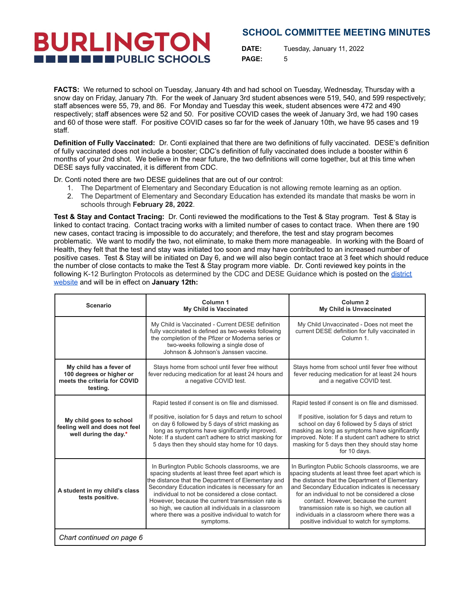**BURLINGTON IN EXECUTIVE PUBLIC SCHOOLS** 

**DATE:** Tuesday, January 11, 2022 **PAGE:** 5

**FACTS:** We returned to school on Tuesday, January 4th and had school on Tuesday, Wednesday, Thursday with a snow day on Friday, January 7th. For the week of January 3rd student absences were 519, 540, and 599 respectively; staff absences were 55, 79, and 86. For Monday and Tuesday this week, student absences were 472 and 490 respectively; staff absences were 52 and 50. For positive COVID cases the week of January 3rd, we had 190 cases and 60 of those were staff. For positive COVID cases so far for the week of January 10th, we have 95 cases and 19 staff.

**Definition of Fully Vaccinated:** Dr. Conti explained that there are two definitions of fully vaccinated. DESE's definition of fully vaccinated does not include a booster; CDC's definition of fully vaccinated does include a booster within 6 months of your 2nd shot. We believe in the near future, the two definitions will come together, but at this time when DESE says fully vaccinated, it is different from CDC.

Dr. Conti noted there are two DESE guidelines that are out of our control:

- 1. The Department of Elementary and Secondary Education is not allowing remote learning as an option.
- 2. The Department of Elementary and Secondary Education has extended its mandate that masks be worn in schools through **February 28, 2022**.

**Test & Stay and Contact Tracing:** Dr. Conti reviewed the modifications to the Test & Stay program. Test & Stay is linked to contact tracing. Contact tracing works with a limited number of cases to contact trace. When there are 190 new cases, contact tracing is impossible to do accurately; and therefore, the test and stay program becomes problematic. We want to modify the two, not eliminate, to make them more manageable. In working with the Board of Health, they felt that the test and stay was initiated too soon and may have contributed to an increased number of positive cases. Test & Stay will be initiated on Day 6, and we will also begin contact trace at 3 feet which should reduce the number of close contacts to make the Test & Stay program more viable. Dr. Conti reviewed key points in the following K-12 Burlington Protocols as determined by the CDC and DESE Guidance which is posted on the [district](https://www.burlingtonpublicschools.org/district/covid-19_clinics__reports____protocols/covid_update_and_new_protocols_1_12_22) [website](https://www.burlingtonpublicschools.org/district/covid-19_clinics__reports____protocols/covid_update_and_new_protocols_1_12_22) and will be in effect on **January 12th:**

| <b>Scenario</b>                                                                                 | Column <sub>1</sub><br><b>My Child is Vaccinated</b>                                                                                                                                                                                                                                                                                                                                                                                                | Column <sub>2</sub><br>My Child is Unvaccinated                                                                                                                                                                                                                                                                                                                                                                                                     |  |
|-------------------------------------------------------------------------------------------------|-----------------------------------------------------------------------------------------------------------------------------------------------------------------------------------------------------------------------------------------------------------------------------------------------------------------------------------------------------------------------------------------------------------------------------------------------------|-----------------------------------------------------------------------------------------------------------------------------------------------------------------------------------------------------------------------------------------------------------------------------------------------------------------------------------------------------------------------------------------------------------------------------------------------------|--|
|                                                                                                 | My Child is Vaccinated - Current DESE definition<br>fully vaccinated is defined as two-weeks following<br>the completion of the Pfizer or Moderna series or<br>two-weeks following a single dose of<br>Johnson & Johnson's Janssen vaccine.                                                                                                                                                                                                         | My Child Unvaccinated - Does not meet the<br>current DESE definition for fully vaccinated in<br>Column 1.                                                                                                                                                                                                                                                                                                                                           |  |
| My child has a fever of<br>100 degrees or higher or<br>meets the criteria for COVID<br>testing. | Stays home from school until fever free without<br>fever reducing medication for at least 24 hours and<br>a negative COVID test.                                                                                                                                                                                                                                                                                                                    | Stays home from school until fever free without<br>fever reducing medication for at least 24 hours<br>and a negative COVID test.                                                                                                                                                                                                                                                                                                                    |  |
| My child goes to school<br>feeling well and does not feel<br>well during the day.*              | Rapid tested if consent is on file and dismissed.<br>If positive, isolation for 5 days and return to school<br>on day 6 followed by 5 days of strict masking as<br>long as symptoms have significantly improved.<br>Note: If a student can't adhere to strict masking for<br>5 days then they should stay home for 10 days.                                                                                                                         | Rapid tested if consent is on file and dismissed.<br>If positive, isolation for 5 days and return to<br>school on day 6 followed by 5 days of strict<br>masking as long as symptoms have significantly<br>improved. Note: If a student can't adhere to strict<br>masking for 5 days then they should stay home<br>for 10 days.                                                                                                                      |  |
| A student in my child's class<br>tests positive.                                                | In Burlington Public Schools classrooms, we are<br>spacing students at least three feet apart which is<br>the distance that the Department of Elementary and<br>Secondary Education indicates is necessary for an<br>individual to not be considered a close contact.<br>However, because the current transmission rate is<br>so high, we caution all individuals in a classroom<br>where there was a positive individual to watch for<br>symptoms. | In Burlington Public Schools classrooms, we are<br>spacing students at least three feet apart which is<br>the distance that the Department of Elementary<br>and Secondary Education indicates is necessary<br>for an individual to not be considered a close<br>contact. However, because the current<br>transmission rate is so high, we caution all<br>individuals in a classroom where there was a<br>positive individual to watch for symptoms. |  |
| Chart continued on page 6                                                                       |                                                                                                                                                                                                                                                                                                                                                                                                                                                     |                                                                                                                                                                                                                                                                                                                                                                                                                                                     |  |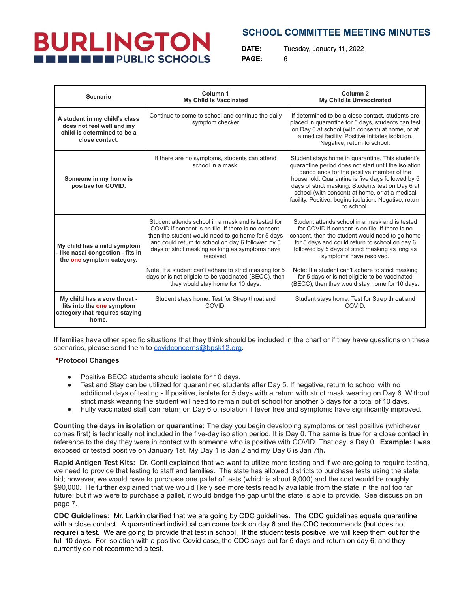# **BURLINGTON THE ENDIREGAL PUBLIC SCHOOLS**

## **SCHOOL COMMITTEE MEETING MINUTES**

**DATE:** Tuesday, January 11, 2022 **PAGE:** 6

| <b>Scenario</b>                                                                                             | Column <sub>1</sub><br><b>My Child is Vaccinated</b>                                                                                                                                                                                                                                                                                                                                                                                          | Column <sub>2</sub><br>My Child is Unvaccinated                                                                                                                                                                                                                                                                                                                                                                                               |  |
|-------------------------------------------------------------------------------------------------------------|-----------------------------------------------------------------------------------------------------------------------------------------------------------------------------------------------------------------------------------------------------------------------------------------------------------------------------------------------------------------------------------------------------------------------------------------------|-----------------------------------------------------------------------------------------------------------------------------------------------------------------------------------------------------------------------------------------------------------------------------------------------------------------------------------------------------------------------------------------------------------------------------------------------|--|
| A student in my child's class<br>does not feel well and my<br>child is determined to be a<br>close contact. | Continue to come to school and continue the daily<br>symptom checker                                                                                                                                                                                                                                                                                                                                                                          | If determined to be a close contact, students are<br>placed in quarantine for 5 days, students can test<br>on Day 6 at school (with consent) at home, or at<br>a medical facility. Positive initiates isolation.<br>Negative, return to school.                                                                                                                                                                                               |  |
| Someone in my home is<br>positive for COVID.                                                                | If there are no symptoms, students can attend<br>school in a mask.                                                                                                                                                                                                                                                                                                                                                                            | Student stays home in quarantine. This student's<br>quarantine period does not start until the isolation<br>period ends for the positive member of the<br>household. Quarantine is five days followed by 5<br>days of strict masking. Students test on Day 6 at<br>school (with consent) at home, or at a medical<br>facility. Positive, begins isolation. Negative, return<br>to school.                                                     |  |
| My child has a mild symptom<br>- like nasal congestion - fits in<br>the one symptom category.               | Student attends school in a mask and is tested for<br>COVID if consent is on file. If there is no consent,<br>then the student would need to go home for 5 days<br>and could return to school on day 6 followed by 5<br>days of strict masking as long as symptoms have<br>resolved.<br>Note: If a student can't adhere to strict masking for 5<br>days or is not eligible to be vaccinated (BECC), then<br>they would stay home for 10 days. | Student attends school in a mask and is tested<br>for COVID if consent is on file. If there is no<br>consent, then the student would need to go home<br>for 5 days and could return to school on day 6<br>followed by 5 days of strict masking as long as<br>symptoms have resolved.<br>Note: If a student can't adhere to strict masking<br>for 5 days or is not eligible to be vaccinated<br>(BECC), then they would stay home for 10 days. |  |
| My child has a sore throat -<br>fits into the one symptom<br>category that requires staying<br>home.        | Student stays home. Test for Strep throat and<br>COVID.                                                                                                                                                                                                                                                                                                                                                                                       | Student stays home. Test for Strep throat and<br>COVID.                                                                                                                                                                                                                                                                                                                                                                                       |  |

If families have other specific situations that they think should be included in the chart or if they have questions on these scenarios, please send them to [covidconcerns@bpsk12.org](mailto:covidconcerns@bpsk12.org)**.**

#### **\*Protocol Changes**

- Positive BECC students should isolate for 10 days.
- Test and Stay can be utilized for quarantined students after Day 5. If negative, return to school with no additional days of testing - If positive, isolate for 5 days with a return with strict mask wearing on Day 6. Without strict mask wearing the student will need to remain out of school for another 5 days for a total of 10 days.
- Fully vaccinated staff can return on Day 6 of isolation if fever free and symptoms have significantly improved.

**Counting the days in isolation or quarantine:** The day you begin developing symptoms or test positive (whichever comes first) is technically not included in the five-day isolation period. It is Day 0. The same is true for a close contact in reference to the day they were in contact with someone who is positive with COVID. That day is Day 0. **Example:** I was exposed or tested positive on January 1st. My Day 1 is Jan 2 and my Day 6 is Jan 7th**.**

**Rapid Antigen Test Kits:** Dr. Conti explained that we want to utilize more testing and if we are going to require testing, we need to provide that testing to staff and families. The state has allowed districts to purchase tests using the state bid; however, we would have to purchase one pallet of tests (which is about 9,000) and the cost would be roughly \$90,000. He further explained that we would likely see more tests readily available from the state in the not too far future; but if we were to purchase a pallet, it would bridge the gap until the state is able to provide. See discussion on page 7.

**CDC Guidelines:** Mr. Larkin clarified that we are going by CDC guidelines. The CDC guidelines equate quarantine with a close contact. A quarantined individual can come back on day 6 and the CDC recommends (but does not require) a test. We are going to provide that test in school. If the student tests positive, we will keep them out for the full 10 days. For isolation with a positive Covid case, the CDC says out for 5 days and return on day 6; and they currently do not recommend a test.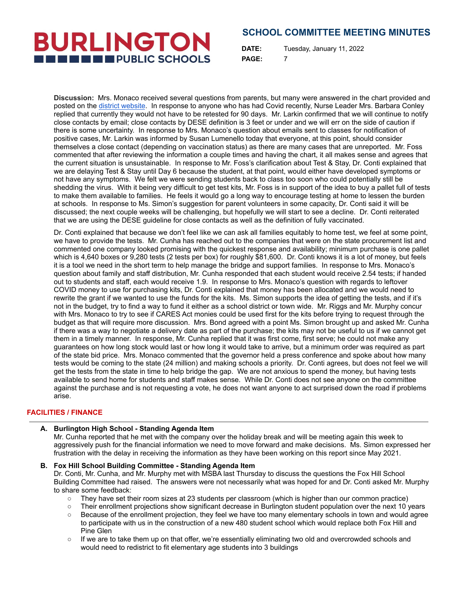**DATE:** Tuesday, January 11, 2022 **PAGE:** 7

**Discussion:** Mrs. Monaco received several questions from parents, but many were answered in the chart provided and posted on the district [website](https://www.burlingtonpublicschools.org/district/covid-19_clinics__reports____protocols/covid_update_and_new_protocols_1_12_22). In response to anyone who has had Covid recently, Nurse Leader Mrs. Barbara Conley replied that currently they would not have to be retested for 90 days. Mr. Larkin confirmed that we will continue to notify close contacts by email; close contacts by DESE definition is 3 feet or under and we will err on the side of caution if there is some uncertainty. In response to Mrs. Monaco's question about emails sent to classes for notification of positive cases, Mr. Larkin was informed by Susan Lumenello today that everyone, at this point, should consider themselves a close contact (depending on vaccination status) as there are many cases that are unreported. Mr. Foss commented that after reviewing the information a couple times and having the chart, it all makes sense and agrees that the current situation is unsustainable. In response to Mr. Foss's clarification about Test & Stay, Dr. Conti explained that we are delaying Test & Stay until Day 6 because the student, at that point, would either have developed symptoms or not have any symptoms. We felt we were sending students back to class too soon who could potentially still be shedding the virus. With it being very difficult to get test kits, Mr. Foss is in support of the idea to buy a pallet full of tests to make them available to families. He feels it would go a long way to encourage testing at home to lessen the burden at schools. In response to Ms. Simon's suggestion for parent volunteers in some capacity, Dr. Conti said it will be discussed; the next couple weeks will be challenging, but hopefully we will start to see a decline. Dr. Conti reiterated that we are using the DESE guideline for close contacts as well as the definition of fully vaccinated.

Dr. Conti explained that because we don't feel like we can ask all families equitably to home test, we feel at some point, we have to provide the tests. Mr. Cunha has reached out to the companies that were on the state procurement list and commented one company looked promising with the quickest response and availability; minimum purchase is one pallet which is 4,640 boxes or 9,280 tests (2 tests per box) for roughly \$81,600. Dr. Conti knows it is a lot of money, but feels it is a tool we need in the short term to help manage the bridge and support families. In response to Mrs. Monaco's question about family and staff distribution, Mr. Cunha responded that each student would receive 2.54 tests; if handed out to students and staff, each would receive 1.9. In response to Mrs. Monaco's question with regards to leftover COVID money to use for purchasing kits, Dr. Conti explained that money has been allocated and we would need to rewrite the grant if we wanted to use the funds for the kits. Ms. Simon supports the idea of getting the tests, and if it's not in the budget, try to find a way to fund it either as a school district or town wide. Mr. Riggs and Mr. Murphy concur with Mrs. Monaco to try to see if CARES Act monies could be used first for the kits before trying to request through the budget as that will require more discussion. Mrs. Bond agreed with a point Ms. Simon brought up and asked Mr. Cunha if there was a way to negotiate a delivery date as part of the purchase; the kits may not be useful to us if we cannot get them in a timely manner. In response, Mr. Cunha replied that it was first come, first serve; he could not make any guarantees on how long stock would last or how long it would take to arrive, but a minimum order was required as part of the state bid price. Mrs. Monaco commented that the governor held a press conference and spoke about how many tests would be coming to the state (24 million) and making schools a priority. Dr. Conti agrees, but does not feel we will get the tests from the state in time to help bridge the gap. We are not anxious to spend the money, but having tests available to send home for students and staff makes sense. While Dr. Conti does not see anyone on the committee against the purchase and is not requesting a vote, he does not want anyone to act surprised down the road if problems arise.

#### **FACILITIES / FINANCE**

#### **A. Burlington High School - Standing Agenda Item**

Mr. Cunha reported that he met with the company over the holiday break and will be meeting again this week to aggressively push for the financial information we need to move forward and make decisions. Ms. Simon expressed her frustration with the delay in receiving the information as they have been working on this report since May 2021.

#### **B. Fox Hill School Building Committee - Standing Agenda Item**

Dr. Conti, Mr. Cunha, and Mr. Murphy met with MSBA last Thursday to discuss the questions the Fox Hill School Building Committee had raised. The answers were not necessarily what was hoped for and Dr. Conti asked Mr. Murphy to share some feedback:

- They have set their room sizes at 23 students per classroom (which is higher than our common practice)
- Their enrollment projections show significant decrease in Burlington student population over the next 10 years
- Because of the enrollment projection, they feel we have too many elementary schools in town and would agree to participate with us in the construction of a new 480 student school which would replace both Fox Hill and Pine Glen
- If we are to take them up on that offer, we're essentially eliminating two old and overcrowded schools and would need to redistrict to fit elementary age students into 3 buildings

## **BURLINGTON THE THE PUBLIC SCHOOLS**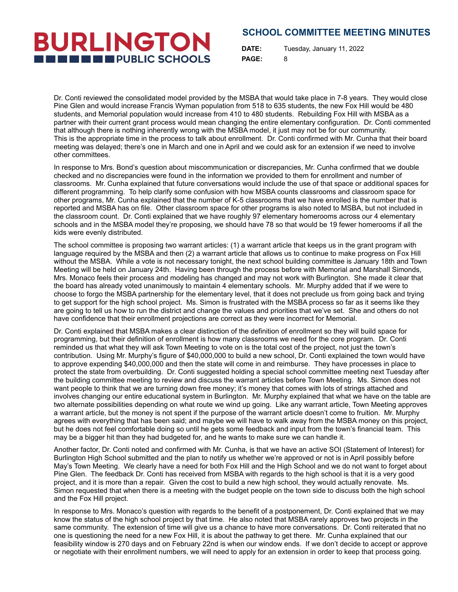**DATE:** Tuesday, January 11, 2022 **PAGE:** 8

Dr. Conti reviewed the consolidated model provided by the MSBA that would take place in 7-8 years. They would close Pine Glen and would increase Francis Wyman population from 518 to 635 students, the new Fox Hill would be 480 students, and Memorial population would increase from 410 to 480 students. Rebuilding Fox Hill with MSBA as a partner with their current grant process would mean changing the entire elementary configuration. Dr. Conti commented that although there is nothing inherently wrong with the MSBA model, it just may not be for our community. This is the appropriate time in the process to talk about enrollment. Dr. Conti confirmed with Mr. Cunha that their board meeting was delayed; there's one in March and one in April and we could ask for an extension if we need to involve other committees.

**BURLINGTON** 

**THE THE PUBLIC SCHOOLS** 

In response to Mrs. Bond's question about miscommunication or discrepancies, Mr. Cunha confirmed that we double checked and no discrepancies were found in the information we provided to them for enrollment and number of classrooms. Mr. Cunha explained that future conversations would include the use of that space or additional spaces for different programming. To help clarify some confusion with how MSBA counts classrooms and classroom space for other programs, Mr. Cunha explained that the number of K-5 classrooms that we have enrolled is the number that is reported and MSBA has on file. Other classroom space for other programs is also noted to MSBA, but not included in the classroom count. Dr. Conti explained that we have roughly 97 elementary homerooms across our 4 elementary schools and in the MSBA model they're proposing, we should have 78 so that would be 19 fewer homerooms if all the kids were evenly distributed.

The school committee is proposing two warrant articles: (1) a warrant article that keeps us in the grant program with language required by the MSBA and then (2) a warrant article that allows us to continue to make progress on Fox Hill without the MSBA. While a vote is not necessary tonight, the next school building committee is January 18th and Town Meeting will be held on January 24th. Having been through the process before with Memorial and Marshall Simonds, Mrs. Monaco feels their process and modeling has changed and may not work with Burlington. She made it clear that the board has already voted unanimously to maintain 4 elementary schools. Mr. Murphy added that if we were to choose to forgo the MSBA partnership for the elementary level, that it does not preclude us from going back and trying to get support for the high school project. Ms. Simon is frustrated with the MSBA process so far as it seems like they are going to tell us how to run the district and change the values and priorities that we've set. She and others do not have confidence that their enrollment projections are correct as they were incorrect for Memorial.

Dr. Conti explained that MSBA makes a clear distinction of the definition of enrollment so they will build space for programming, but their definition of enrollment is how many classrooms we need for the core program. Dr. Conti reminded us that what they will ask Town Meeting to vote on is the total cost of the project, not just the town's contribution. Using Mr. Murphy's figure of \$40,000,000 to build a new school, Dr. Conti explained the town would have to approve expending \$40,000,000 and then the state will come in and reimburse. They have processes in place to protect the state from overbuilding. Dr. Conti suggested holding a special school committee meeting next Tuesday after the building committee meeting to review and discuss the warrant articles before Town Meeting. Ms. Simon does not want people to think that we are turning down free money; it's money that comes with lots of strings attached and involves changing our entire educational system in Burlington. Mr. Murphy explained that what we have on the table are two alternate possibilities depending on what route we wind up going. Like any warrant article, Town Meeting approves a warrant article, but the money is not spent if the purpose of the warrant article doesn't come to fruition. Mr. Murphy agrees with everything that has been said; and maybe we will have to walk away from the MSBA money on this project, but he does not feel comfortable doing so until he gets some feedback and input from the town's financial team. This may be a bigger hit than they had budgeted for, and he wants to make sure we can handle it.

Another factor, Dr. Conti noted and confirmed with Mr. Cunha, is that we have an active SOI (Statement of Interest) for Burlington High School submitted and the plan to notify us whether we're approved or not is in April possibly before May's Town Meeting. We clearly have a need for both Fox Hill and the High School and we do not want to forget about Pine Glen. The feedback Dr. Conti has received from MSBA with regards to the high school is that it is a very good project, and it is more than a repair. Given the cost to build a new high school, they would actually renovate. Ms. Simon requested that when there is a meeting with the budget people on the town side to discuss both the high school and the Fox Hill project.

In response to Mrs. Monaco's question with regards to the benefit of a postponement, Dr. Conti explained that we may know the status of the high school project by that time. He also noted that MSBA rarely approves two projects in the same community. The extension of time will give us a chance to have more conversations. Dr. Conti reiterated that no one is questioning the need for a new Fox Hill, it is about the pathway to get there. Mr. Cunha explained that our feasibility window is 270 days and on February 22nd is when our window ends. If we don't decide to accept or approve or negotiate with their enrollment numbers, we will need to apply for an extension in order to keep that process going.